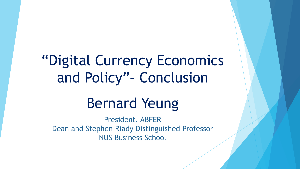# "Digital Currency Economics and Policy"– Conclusion

# Bernard Yeung

President, ABFER Dean and Stephen Riady Distinguished Professor NUS Business School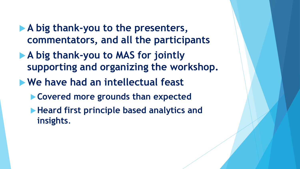- **A big thank-you to the presenters, commentators, and all the participants**
- **A big thank-you to MAS for jointly supporting and organizing the workshop.**
- **We have had an intellectual feast**
	- **Covered more grounds than expected**
	- **Heard first principle based analytics and insights**.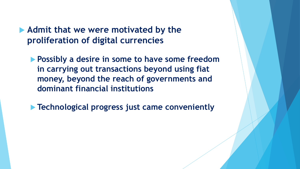**Admit that we were motivated by the proliferation of digital currencies**

**Possibly a desire in some to have some freedom in carrying out transactions beyond using fiat money, beyond the reach of governments and dominant financial institutions**

**Technological progress just came conveniently**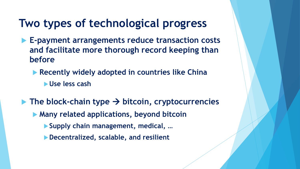### **Two types of technological progress**

- **E-payment arrangements reduce transaction costs and facilitate more thorough record keeping than before**
	- **Recently widely adopted in countries like China** 
		- **Use less cash**
- $\blacktriangleright$  The block-chain type  $\rightarrow$  bitcoin, cryptocurrencies
	- **Many related applications, beyond bitcoin**
		- **Supply chain management, medical, …**
		- **Decentralized, scalable, and resilient**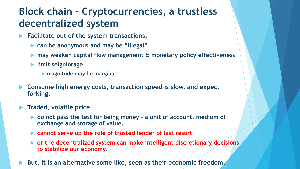#### **Block chain – Cryptocurrencies, a trustless decentralized system**

- **Facilitate out of the system transactions,** 
	- **can be anonymous and may be "illegal"**
	- **may weaken capital flow management & monetary policy effectiveness**
	- **limit seigniorage**
		- **magnitude may be marginal**
- **Consume high energy costs, transaction speed is slow, and expect forking.**
- **Traded, volatile price.**
	- ▶ do not pass the test for being money a unit of account, medium of **exchange and storage of value.**
	- **cannot serve up the role of trusted lender of last resort**
	- **or the decentralized system can make intelligent discretionary decisions to stabilize our economy.**
- **But, it is an alternative some like, seen as their economic freedom.**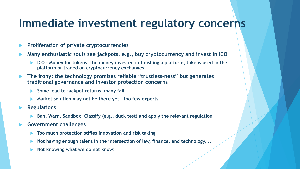#### **Immediate investment regulatory concerns**

- **Proliferation of private cryptocurrencies**
- **Many enthusiastic souls see jackpots, e.g., buy cryptocurrency and invest in ICO**
	- **ICO – Money for tokens, the money invested in finishing a platform, tokens used in the platform or traded on cryptocurrency exchanges**
- **The irony: the technology promises reliable "trustless-ness" but generates traditional governance and investor protection concerns**
	- ▶ Some lead to jackpot returns, many fail
	- **Market solution may not be there yet – too few experts**
- **Regulations**
	- **Ban, Warn, Sandbox, Classify (e.g., duck test) and apply the relevant regulation**
- **Government challenges**
	- **Too much protection stifles innovation and risk taking**
	- **Not having enough talent in the intersection of law, finance, and technology, ..**
	- **Not knowing what we do not know!**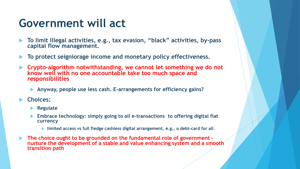### **Government will act**

- **To limit illegal activities, e.g., tax evasion, "black" activities, by-pass capital flow management.**
- **To protect seigniorage income and monetary policy effectiveness.**
- **Crypto-algorithm notwithstanding, we cannot let something we do not know well with no one accountable take too much space and responsibilities**
	- **Anyway, people use less cash. E-arrangements for efficiency gains?**
- **Choices:**
	- **Regulate**
	- **Embrace technology: simply going to all e-transactions to offering digital fiat currency** 
		- **limited access vs full fledge cashless digital arrangement, e.g., a debt-card for all.**
- **The choice ought to be grounded on the fundamental role of government – nurture the development of a stable and value enhancing system and a smooth transition path**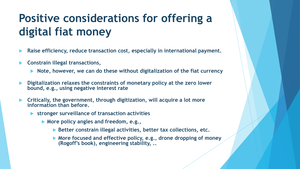## **Positive considerations for offering a digital fiat money**

- **Raise efficiency, reduce transaction cost, especially in international payment.**
- **Constrain illegal transactions,**
	- ▶ Note, however, we can do these without digitalization of the fiat currency
- **Digitalization relaxes the constraints of monetary policy at the zero lower bound, e.g., using negative interest rate**
- **Critically, the government, through digitization, will acquire a lot more information than before.** 
	- **stronger surveillance of transaction activities**
		- **More policy angles and freedom, e.g.,** 
			- **Better constrain illegal activities, better tax collections, etc.**
			- **More focused and effective policy, e.g., drone dropping of money (Rogoff's book), engineering stability, ..**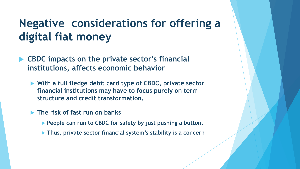## **Negative considerations for offering a digital fiat money**

- **CBDC impacts on the private sector's financial institutions, affects economic behavior** 
	- **With a full fledge debit card type of CBDC, private sector financial institutions may have to focus purely on term structure and credit transformation.**
	- **The risk of fast run on banks** 
		- **People can run to CBDC for safety by just pushing a button.**
		- **Thus, private sector financial system's stability is a concern**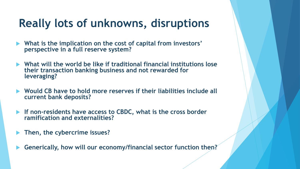### **Really lots of unknowns, disruptions**

- **What is the implication on the cost of capital from investors' perspective in a full reserve system?**
- **What will the world be like if traditional financial institutions lose their transaction banking business and not rewarded for leveraging?**
- **Would CB have to hold more reserves if their liabilities include all current bank deposits?**
- **If non-residents have access to CBDC, what is the cross border ramification and externalities?**
- **Then, the cybercrime issues?**
- **Generically, how will our economy/financial sector function then?**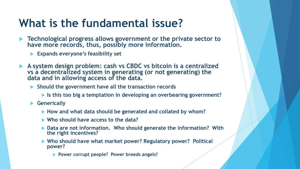### **What is the fundamental issue?**

- **Technological progress allows government or the private sector to have more records, thus, possibly more information.**
	- **Expands everyone's feasibility set**
- **A system design problem: cash vs CBDC vs bitcoin is a centralized vs a decentralized system in generating (or not generating) the data and in allowing access of the data.** 
	- **Should the government have all the transaction records**
		- **Is this too big a temptation in developing an overbearing government?**
	- **Generically**
		- **How and what data should be generated and collated by whom?**
		- **Who should have access to the data?**
		- **Data are not information. Who should generate the information? With the right incentives?**
		- **Who should have what market power? Regulatory power? Political power?**
			- **Power corrupt people? Power breeds angels?**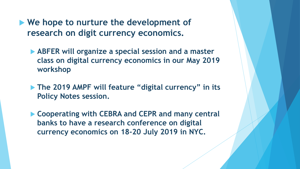- **We hope to nurture the development of research on digit currency economics.**
	- **ABFER will organize a special session and a master class on digital currency economics in our May 2019 workshop**
	- **The 2019 AMPF will feature "digital currency" in its Policy Notes session.**
	- **Cooperating with CEBRA and CEPR and many central banks to have a research conference on digital currency economics on 18-20 July 2019 in NYC.**